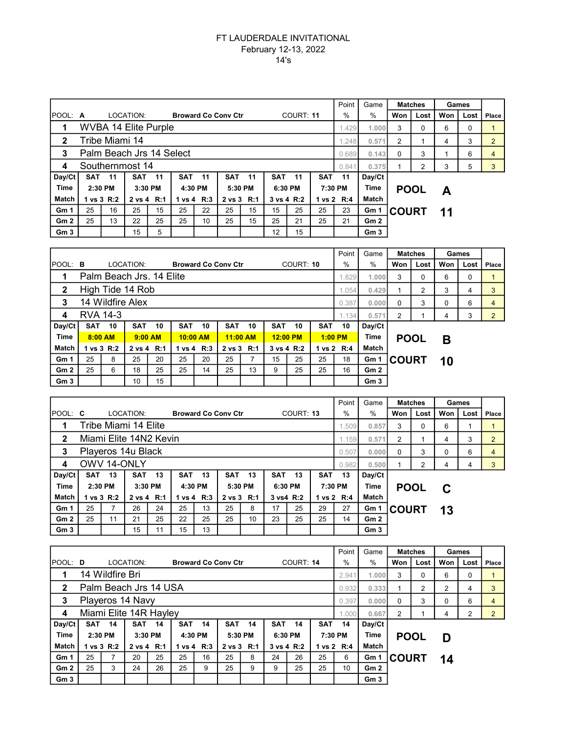## FT LAUDERDALE INVITATIONAL February 12-13, 2022 14's

|                 |                             |                          |            |         |            |                            |            |       |            |    |     | Point      | Game            | <b>Matches</b> |      | Games |      |                |
|-----------------|-----------------------------|--------------------------|------------|---------|------------|----------------------------|------------|-------|------------|----|-----|------------|-----------------|----------------|------|-------|------|----------------|
| POOL: A         |                             |                          | LOCATION:  |         |            | <b>Broward Co Conv Ctr</b> |            |       | COURT: 11  |    |     | $\%$       | $\frac{0}{0}$   | Won            | Lost | Won   | Lost | Place          |
|                 | <b>WVBA 14 Elite Purple</b> |                          |            |         |            |                            |            |       |            |    |     |            | 1.000           | 3              | 0    | 6     | 0    |                |
| $\mathbf{2}$    | Tribe Miami 14              |                          |            |         |            |                            |            |       |            |    |     |            | 0.571<br>1.248  | $\overline{2}$ |      | 4     | 3    | $\overline{2}$ |
| 3               |                             | Palm Beach Jrs 14 Select |            |         |            |                            | 0.689      | 0.143 | $\Omega$   | 3  |     | 6          | 4               |                |      |       |      |                |
| 4               | Southernmost 14             |                          |            |         |            |                            |            |       |            |    |     | 0.841      | 0.375           |                | 2    | 3     | 5    | 3              |
| Day/Ct          | <b>SAT 11</b>               |                          | <b>SAT</b> | $-11$   | <b>SAT</b> | 11                         | <b>SAT</b> | 11    | <b>SAT</b> | 11 | SAT | $-11$      | Day/Ct          |                |      |       |      |                |
| <b>Time</b>     | 2:30 PM                     |                          |            | 3:30 PM |            | 4:30 PM                    | 5:30 PM    |       | 6:30 PM    |    |     | 7:30 PM    | Time            | <b>POOL</b>    |      | A     |      |                |
| Match           |                             | 1 vs 3 R:2               | 2 vs 4 R:1 |         |            | 1 vs 4 R:3                 | 2 vs 3 R:1 |       | 3 vs 4 R:2 |    |     | 1 vs 2 R:4 | Match           |                |      |       |      |                |
| Gm 1            | 25                          | 16                       | 25         | 15      | 25         | 22                         | 25         | 15    | 15         | 25 | 25  | 23         | Gm 1            | <b>COURT</b>   |      | 11    |      |                |
| Gm <sub>2</sub> | 25                          | 13                       | 22         | 25      | 25         | 10                         | 25         | 15    | 25         | 21 | 25  | 21         | Gm2             |                |      |       |      |                |
| Gm <sub>3</sub> |                             |                          | 15         | 5       |            |                            |            |       | 12         | 15 |     |            | Gm <sub>3</sub> |                |      |       |      |                |

|                 |                          |                  |            |           |            |    |                            |            |            |            |            | Point      | Game            | <b>Matches</b> |      | Games    |      |                |
|-----------------|--------------------------|------------------|------------|-----------|------------|----|----------------------------|------------|------------|------------|------------|------------|-----------------|----------------|------|----------|------|----------------|
| <b>POOL: B</b>  |                          |                  | LOCATION:  |           |            |    | <b>Broward Co Conv Ctr</b> |            | COURT: 10  |            |            | $\%$       | $\%$            | Won            | Lost | Won      | Lost | Place          |
|                 | Palm Beach Jrs. 14 Elite |                  |            |           |            |    |                            |            |            |            |            |            |                 | 3              | 0    | 6        | 0    |                |
| $\mathbf{2}$    |                          | High Tide 14 Rob |            |           |            |    | 1.054                      | 0.429      |            | 2          | 3          | 4          | 3               |                |      |          |      |                |
| 3               | 14 Wildfire Alex         |                  |            |           |            |    |                            |            |            |            |            |            | 0.000           | 0              | 3    | $\Omega$ | 6    | 4              |
| 4               | RVA 14-3                 |                  |            |           |            |    |                            |            |            |            |            | 1.134      | 0.571           | 2              |      | 4        | 3    | $\overline{2}$ |
| Day/Ct          | SAT                      | 10               | <b>SAT</b> | 10        | <b>SAT</b> | 10 | <b>SAT</b>                 | 10         | <b>SAT</b> | 10         | <b>SAT</b> | 10         | Day/Ct          |                |      |          |      |                |
| Time            | $8:00$ AM                |                  |            | $9:00$ AM | $10:00$ AM |    |                            | $11:00$ AM |            | $12:00$ PM |            | $1:00$ PM  | <b>Time</b>     | <b>POOL</b>    |      | В        |      |                |
| Match           |                          | 1 vs 3 R:2       | 2 vs 4 R:1 |           | 1 vs 4 R:3 |    | 2 vs 3 R:1                 |            | 3 vs 4 R:2 |            |            | 1 vs 2 R:4 | Match           |                |      |          |      |                |
| Gm <sub>1</sub> | 25                       | 8                | 25         | 20        | 25         | 20 | 25                         |            | 15         | 25         | 25         | 18         | Gm 1            | <b>ICOURT</b>  |      | 10       |      |                |
| Gm <sub>2</sub> | 25                       | 6                | 18         | 25        | 25         | 14 | 25                         | 13         | 9          | 25         | 25         | 16         | Gm2             |                |      |          |      |                |
| Gm <sub>3</sub> |                          |                  | 10         | 15        |            |    |                            |            |            |            |            |            | Gm <sub>3</sub> |                |      |          |      |                |

|                 |                        |                    |            |         |            |            |                            |         |            |           |            | Point      | Game            |             | <b>Matches</b> | Games |      |                |
|-----------------|------------------------|--------------------|------------|---------|------------|------------|----------------------------|---------|------------|-----------|------------|------------|-----------------|-------------|----------------|-------|------|----------------|
| <b>POOL: C</b>  |                        |                    | LOCATION:  |         |            |            | <b>Broward Co Conv Ctr</b> |         |            | COURT: 13 |            | $\%$       | $\%$            | Won         | Lost           | Won   | Lost | Place          |
| 1               | Tribe Miami 14 Elite   |                    |            |         |            |            |                            |         |            |           |            |            |                 | 3           | $\Omega$       | 6     |      |                |
| $\overline{2}$  | Miami Elite 14N2 Kevin |                    |            |         |            |            |                            |         |            |           |            |            |                 | 2           |                | 4     | 3    | $\overline{2}$ |
| 3               |                        | Playeros 14u Black |            |         |            |            | 0.507                      | 0.000   | $\Omega$   | 3         | $\Omega$   | 6          | $\overline{4}$  |             |                |       |      |                |
| 4               | OWV 14-ONLY            |                    |            |         |            |            |                            |         |            |           |            |            | 0.500           |             | 2              | 4     | 4    | 3              |
| Day/Ct          |                        | <b>SAT 13</b>      | <b>SAT</b> | 13      | <b>SAT</b> | 13         | <b>SAT</b>                 | 13      | <b>SAT</b> | 13        | <b>SAT</b> | 13         | Day/Ct          |             |                |       |      |                |
| <b>Time</b>     | 2:30 PM                |                    |            | 3:30 PM |            | 4:30 PM    |                            | 5:30 PM |            | 6:30 PM   |            | 7:30 PM    |                 | <b>POOL</b> |                | C     |      |                |
| Match           |                        | 1 vs 3 R:2         | 2 vs 4 R:1 |         |            | 1 vs 4 R:3 | 2 vs 3 R:1                 |         |            | 3 vs4 R:2 |            | 1 vs 2 R:4 | Match           |             |                |       |      |                |
| Gm <sub>1</sub> | 25                     | 7                  | 26         | 24      | 25         | 13         | 25                         | 8       | 17         | 25        | 29         | 27         | Gm 1            | ∣COURT      |                | 13    |      |                |
| Gm <sub>2</sub> | 25                     | 11                 | 21         | 25      | 22         | 25         | 25                         | 10      | 23         | 25        | 25         | 14         | Gm2             |             |                |       |      |                |
| Gm <sub>3</sub> |                        |                    | 15         | 11      | 15         | 13         |                            |         |            |           |            |            | Gm <sub>3</sub> |             |                |       |      |                |

|                 |                        |                 |            |         |            |                            |          |            |           |            |     | Point           | Game            |                | <b>Matches</b> | Games |      |       |
|-----------------|------------------------|-----------------|------------|---------|------------|----------------------------|----------|------------|-----------|------------|-----|-----------------|-----------------|----------------|----------------|-------|------|-------|
| POOL: D         |                        |                 | LOCATION:  |         |            | <b>Broward Co Conv Ctr</b> |          |            | COURT: 14 |            |     | $\%$            | $\%$            | Won            | Lost           | Won   | Lost | Place |
|                 |                        | 14 Wildfire Bri |            |         |            |                            |          | 2.941      | 1.000     | 3          | 0   | 6               | 0               |                |                |       |      |       |
| $\mathbf{2}$    | Palm Beach Jrs 14 USA  |                 |            |         |            |                            |          |            |           |            |     |                 |                 | 0.333          | 2              | 2     | 4    | 3     |
| 3               | Playeros 14 Navy       |                 |            |         | 0.397      | 0.000                      | $\Omega$ | 3          | 0         | 6          | 4   |                 |                 |                |                |       |      |       |
| 4               | Miami Elite 14R Hayley |                 |            |         |            |                            |          |            |           |            |     |                 | 0.667           | $\overline{2}$ |                | 4     | 2    | 2     |
| Day/Ct          |                        | <b>SAT 14</b>   | <b>SAT</b> | 14      | <b>SAT</b> | 14                         | SAT      | 14         | SAT       | 14         | SAT | 14              | Day/Ct          |                |                |       |      |       |
| Time            |                        | 2:30 PM         |            | 3:30 PM |            | 4:30 PM                    |          | 5:30 PM    | 6:30 PM   |            |     | Time<br>7:30 PM |                 | <b>POOL</b>    |                | D     |      |       |
| Match           |                        | 1 vs 3 R:2      | 2 vs 4 R:1 |         |            | 1 vs 4 R:3                 |          | 2 vs 3 R:1 |           | 3 vs 4 R:2 |     | 1 vs 2 R:4      | Match           |                |                |       |      |       |
| Gm <sub>1</sub> | 25                     | 7               | 20         | 25      | 25         | 16                         | 25       | 8          | 24        | 26         | 25  | 6               | Gm 1            | <b>COURT</b>   |                | 14    |      |       |
| Gm2             | 25                     | 3               | 24         | 26      | 25         | 9                          | 25       | 9          | 9         | 25         | 25  | 10              | Gm2             |                |                |       |      |       |
| Gm <sub>3</sub> |                        |                 |            |         |            |                            |          |            |           |            |     |                 | Gm <sub>3</sub> |                |                |       |      |       |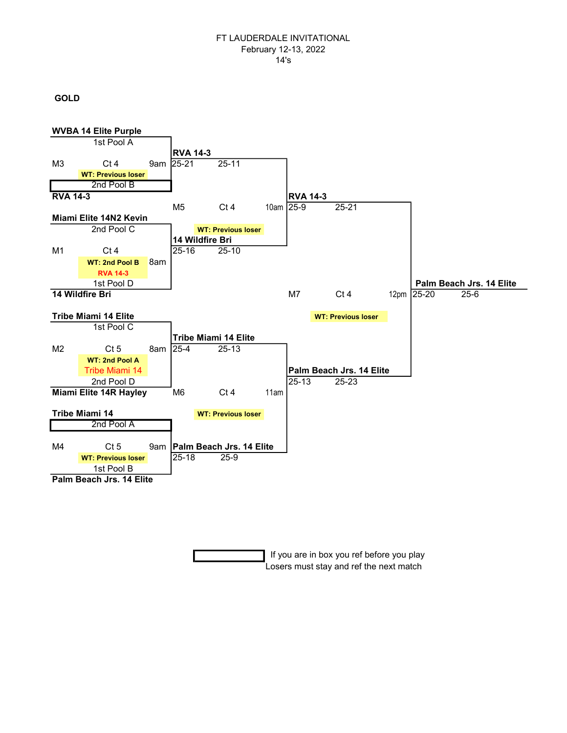### FT LAUDERDALE INVITATIONAL February 12-13, 2022 14's

# GOLD



 If you are in box you ref before you play Losers must stay and ref the next match